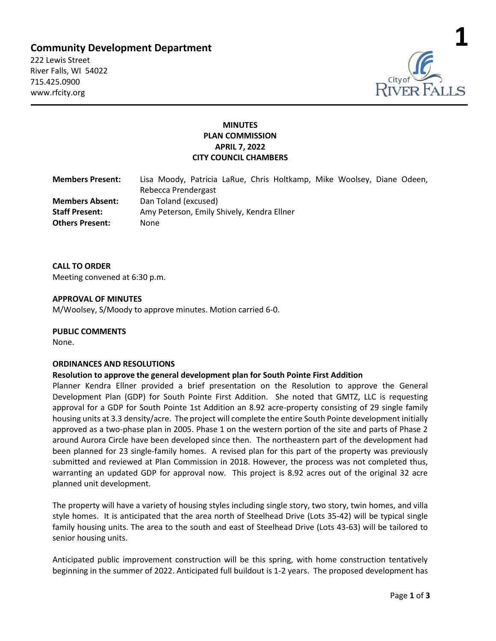# **Community Development Department**

222 Lewis Street River Falls, WI 54022 715.425.0900 www.rfcity.org



## **MINUTES PLAN COMMISSION APRIL 7, 2022 CITY COUNCIL CHAMBERS**

| <b>Members Present:</b> | Lisa Moody, Patricia LaRue, Chris Holtkamp, Mike Woolsey, Diane Odeen, |
|-------------------------|------------------------------------------------------------------------|
|                         | Rebecca Prendergast                                                    |
| <b>Members Absent:</b>  | Dan Toland (excused)                                                   |
| <b>Staff Present:</b>   | Amy Peterson, Emily Shively, Kendra Ellner                             |
| <b>Others Present:</b>  | None                                                                   |

**CALL TO ORDER**  Meeting convened at 6:30 p.m.

### **APPROVAL OF MINUTES**

M/Woolsey, S/Moody to approve minutes. Motion carried 6-0.

### **PUBLIC COMMENTS**

None.

### **ORDINANCES AND RESOLUTIONS**

### **Resolution to approve the general development plan for South Pointe First Addition**

Planner Kendra Ellner provided a brief presentation on the Resolution to approve the General Development Plan (GDP) for South Pointe First Addition. She noted that GMTZ, LLC is requesting approval for a GDP for South Pointe 1st Addition an 8.92 acre-property consisting of 29 single family housing units at 3.3 density/acre. The project will complete the entire South Pointe development initially approved as a two-phase plan in 2005. Phase 1 on the western portion of the site and parts of Phase 2 around Aurora Circle have been developed since then. The northeastern part of the development had been planned for 23 single-family homes. A revised plan for this part of the property was previously submitted and reviewed at Plan Commission in 2018. However, the process was not completed thus, warranting an updated GDP for approval now. This project is 8.92 acres out of the original 32 acre planned unit development.

The property will have a variety of housing styles including single story, two story, twin homes, and villa style homes. It is anticipated that the area north of Steelhead Drive (Lots 35-42) will be typical single family housing units. The area to the south and east of Steelhead Drive (Lots 43-63) will be tailored to senior housing units.

Anticipated public improvement construction will be this spring, with home construction tentatively beginning in the summer of 2022. Anticipated full buildout is 1-2 years. The proposed development has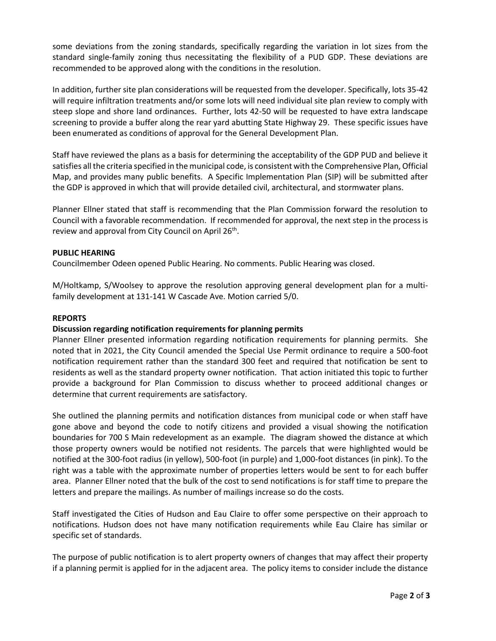some deviations from the zoning standards, specifically regarding the variation in lot sizes from the standard single-family zoning thus necessitating the flexibility of a PUD GDP. These deviations are recommended to be approved along with the conditions in the resolution.

In addition, further site plan considerations will be requested from the developer. Specifically, lots 35-42 will require infiltration treatments and/or some lots will need individual site plan review to comply with steep slope and shore land ordinances. Further, lots 42-50 will be requested to have extra landscape screening to provide a buffer along the rear yard abutting State Highway 29. These specific issues have been enumerated as conditions of approval for the General Development Plan.

Staff have reviewed the plans as a basis for determining the acceptability of the GDP PUD and believe it satisfies all the criteria specified in the municipal code, is consistent with the Comprehensive Plan, Official Map, and provides many public benefits. A Specific Implementation Plan (SIP) will be submitted after the GDP is approved in which that will provide detailed civil, architectural, and stormwater plans.

Planner Ellner stated that staff is recommending that the Plan Commission forward the resolution to Council with a favorable recommendation. If recommended for approval, the next step in the process is review and approval from City Council on April 26<sup>th</sup>.

### **PUBLIC HEARING**

Councilmember Odeen opened Public Hearing. No comments. Public Hearing was closed.

M/Holtkamp, S/Woolsey to approve the resolution approving general development plan for a multifamily development at 131-141 W Cascade Ave. Motion carried 5/0.

### **REPORTS**

### **Discussion regarding notification requirements for planning permits**

Planner Ellner presented information regarding notification requirements for planning permits. She noted that in 2021, the City Council amended the Special Use Permit ordinance to require a 500-foot notification requirement rather than the standard 300 feet and required that notification be sent to residents as well as the standard property owner notification. That action initiated this topic to further provide a background for Plan Commission to discuss whether to proceed additional changes or determine that current requirements are satisfactory.

She outlined the planning permits and notification distances from municipal code or when staff have gone above and beyond the code to notify citizens and provided a visual showing the notification boundaries for 700 S Main redevelopment as an example. The diagram showed the distance at which those property owners would be notified not residents. The parcels that were highlighted would be notified at the 300-foot radius (in yellow), 500-foot (in purple) and 1,000-foot distances (in pink). To the right was a table with the approximate number of properties letters would be sent to for each buffer area. Planner Ellner noted that the bulk of the cost to send notifications is for staff time to prepare the letters and prepare the mailings. As number of mailings increase so do the costs.

Staff investigated the Cities of Hudson and Eau Claire to offer some perspective on their approach to notifications. Hudson does not have many notification requirements while Eau Claire has similar or specific set of standards.

The purpose of public notification is to alert property owners of changes that may affect their property if a planning permit is applied for in the adjacent area. The policy items to consider include the distance